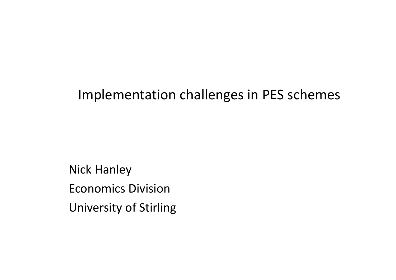#### Implementation challenges in PES schemes

Nick HanleyEconomics DivisionUniversity of Stirling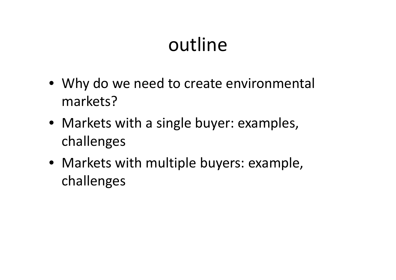## outline

- Why do we need to create environmental markets?
- Markets with a single buyer: examples, challenges
- Markets with multiple buyers: example, challenges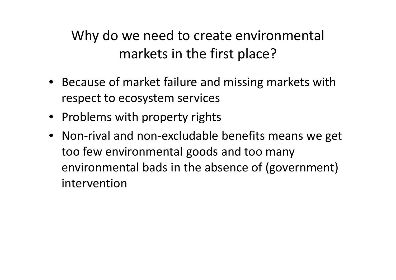Why do we need to create environmental markets in the first place?

- Because of market failure and missing markets with respect to ecosystem services
- Problems with property rights
- Non-rival and non-excludable benefits means we get too few environmental goods and too many environmental bads in the absence of (government) intervention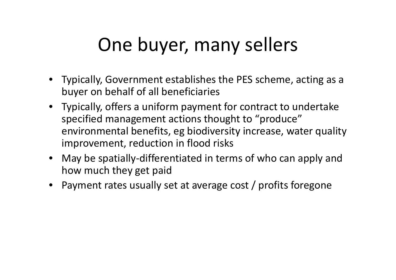## One buyer, many sellers

- Typically, Government establishes the PES scheme, acting as a buyer on behalf of all beneficiaries
- Typically, offers a uniform payment for contract to undertake specified management actions thought to "produce" environmental benefits, eg biodiversity increase, water quality improvement, reduction in flood risks
- May be spatially-differentiated in terms of who can apply and how much they get paid
- Payment rates usually set at average cost / profits foregone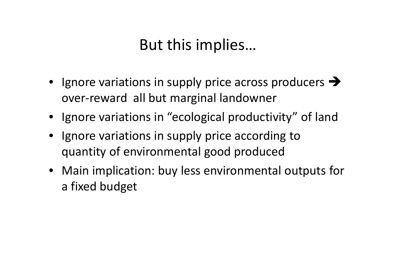### But this implies…

- Ignore variations in supply price across producers  $\rightarrow$ over-reward all but marginal landowner
- Ignore variations in "ecological productivity" of land
- Ignore variations in supply price according to quantity of environmental good produced
- Main implication: buy less environmental outputs for a fixed budget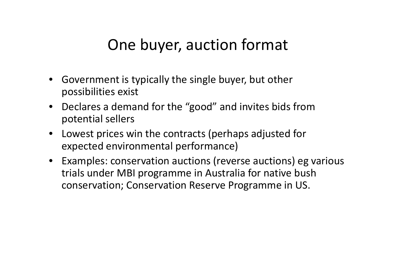#### One buyer, auction format

- Government is typically the single buyer, but other possibilities exist
- Declares a demand for the "good" and invites bids from potential sellers
- Lowest prices win the contracts (perhaps adjusted for expected environmental performance)
- Examples: conservation auctions (reverse auctions) eg various trials under MBI programme in Australia for native bush conservation; Conservation Reserve Programme in US.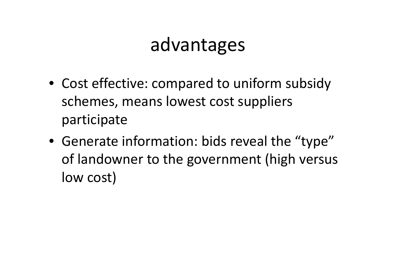### advantages

- Cost effective: compared to uniform subsidy schemes, means lowest cost suppliers participate
- Generate information: bids reveal the "type" of landowner to the government (high versus low cost)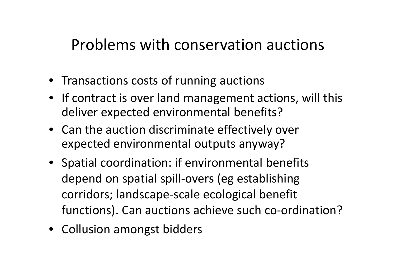#### Problems with conservation auctions

- Transactions costs of running auctions
- If contract is over land management actions, will this deliver expected environmental benefits?
- Can the auction discriminate effectively over expected environmental outputs anyway?
- Spatial coordination: if environmental benefits depend on spatial spill-overs (eg establishing corridors; landscape-scale ecological benefit functions). Can auctions achieve such co-ordination?
- Collusion amongst bidders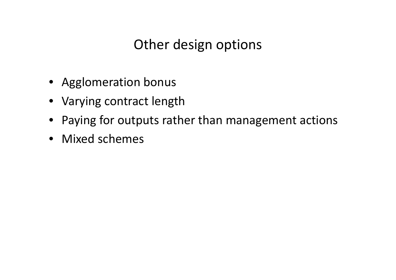#### Other design options

- Agglomeration bonus
- Varying contract length
- Paying for outputs rather than management actions
- Mixed schemes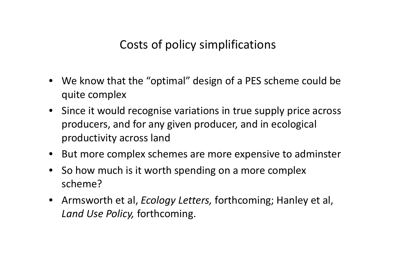Costs of policy simplifications

- We know that the "optimal" design of a PES scheme could be quite complex
- Since it would recognise variations in true supply price across producers, and for any given producer, and in ecological productivity across land
- But more complex schemes are more expensive to adminster
- So how much is it worth spending on a more complex scheme?
- Armsworth et al, *Ecology Letters,* forthcoming; Hanley et al, *Land Use Policy,* forthcoming.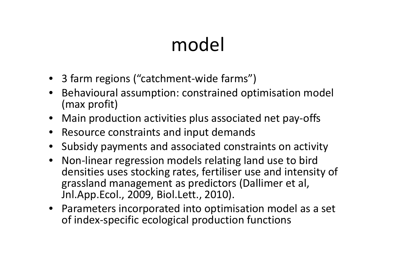# model

- <sup>3</sup> farm regions ("catchment-wide farms")
- Behavioural assumption: constrained optimisation model (max profit)
- Main production activities plus associated net pay-offs
- Resource constraints and input demands
- Subsidy payments and associated constraints on activity
- $\bullet$  Non-linear regression models relating land use to bird densities uses stocking rates, fertiliser use and intensity of grassland management as predictors (Dallimer et al, Jnl.App.Ecol., 2009, Biol.Lett., 2010).
- Parameters incorporated into optimisation model as a set of index-specific ecological production functions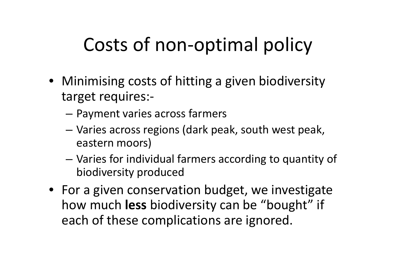## Costs of non-optimal policy

- Minimising costs of hitting a given biodiversity target requires:-
	- Payment varies across farmers
	- Varies across regions (dark peak, south west peak, eastern moors)
	- Varies for individual farmers according to quantity of biodiversity produced
- For a given conservation budget, we investigate how much **less** biodiversity can be "bought" if each of these complications are ignored.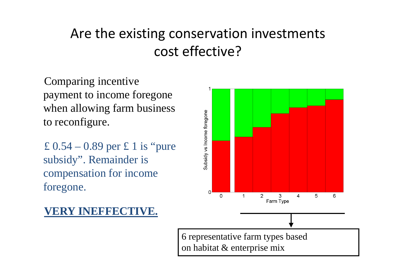#### Are the existing conservation investments cost effective?

Comparing incentive payment to income foregone when allowing farm business to reconfigure.

£ 0.54 – 0.89 per £ 1 is "pure subsidy". Remainder is compensation for income foregone.



#### **VERY INEFFECTIVE.**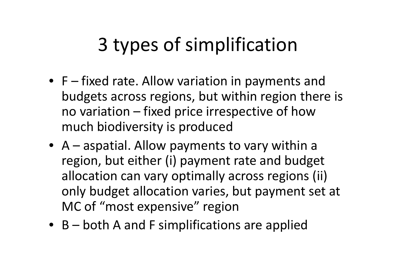## 3 types of simplification

- F fixed rate. Allow variation in payments and budgets across regions, but within region there is no variation – fixed price irrespective of how much biodiversity is produced
- A aspatial. Allow payments to vary within a region, but either (i) payment rate and budget allocation can vary optimally across regions (ii) only budget allocation varies, but payment set at MC of "most expensive" region
- B both A and F simplifications are applied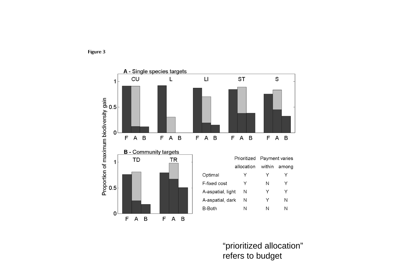



"prioritized allocation" refers to budget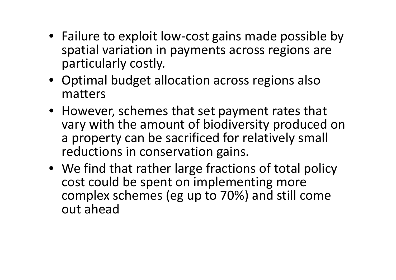- Failure to exploit low-cost gains made possible by spatial variation in payments across regions are particularly costly.
- Optimal budget allocation across regions also matters
- However, schemes that set payment rates that vary with the amount of biodiversity produced on a property can be sacrificed for relatively small reductions in conservation gains.
- We find that rather large fractions of total policycost could be spent on implementing more complex schemes (eg up to 70%) and still come out ahead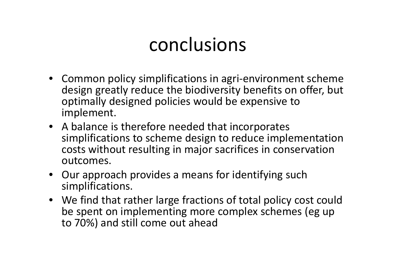### conclusions

- Common policy simplifications in agri-environment scheme design greatly reduce the biodiversity benefits on offer, but optimally designed policies would be expensive to implement.
- A balance is therefore needed that incorporates simplifications to scheme design to reduce implementation costs without resulting in major sacrifices in conservation outcomes.
- Our approach provides a means for identifying such simplifications.
- We find that rather large fractions of total policy cost could be spent on implementing more complex schemes (eg upto 70%) and still come out ahead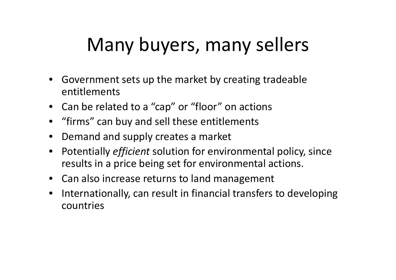## Many buyers, many sellers

- Government sets up the market by creating tradeableentitlements
- Can be related to a "cap" or "floor" on actions
- "firms" can buy and sell these entitlements
- $\bullet$ Demand and supply creates a market
- Potentially *efficient* solution for environmental policy, since results in a price being set for environmental actions.
- Can also increase returns to land management
- $\bullet$  Internationally, can result in financial transfers to developing countries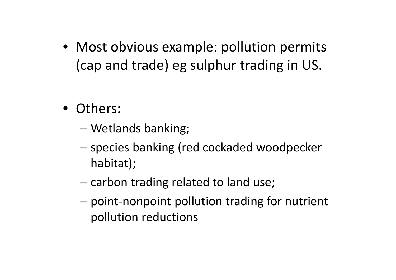- Most obvious example: pollution permits (cap and trade) eg sulphur trading in US.
- Others:
	- and the state of the state Wetlands banking;
	- –- species banking (red cockaded woodpecker habitat);
	- –- carbon trading related to land use;
	- and the state of the state point-nonpoint pollution trading for nutrient pollution reductions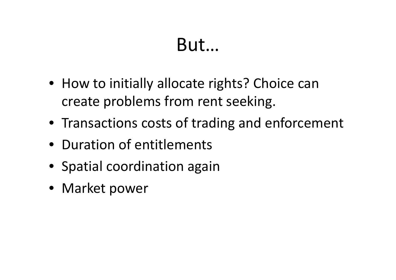### But…

- How to initially allocate rights? Choice can create problems from rent seeking.
- Transactions costs of trading and enforcement
- Duration of entitlements
- Spatial coordination again
- Market power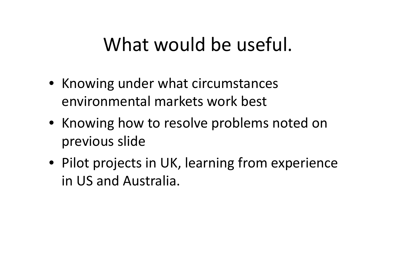### What would be useful.

- Knowing under what circumstances environmental markets work best
- Knowing how to resolve problems noted on previous slide
- Pilot projects in UK, learning from experience in US and Australia.